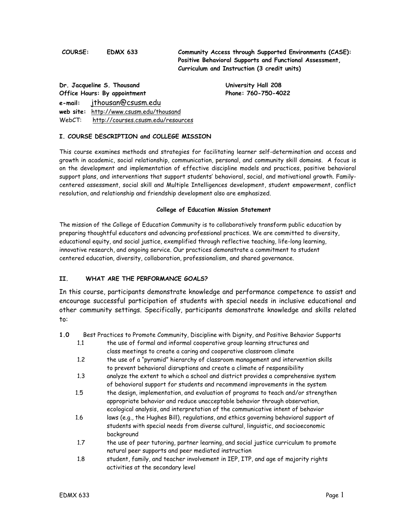**COURSE: EDMX 633 Community Access through Supported Environments (CASE): Positive Behavioral Supports and Functional Assessment, Curriculum and Instruction (3 credit units)** 

**Dr. Jacqueline S. Thousand University Hall 208**  Office Hours: By appointment Phone: 760-750-4022 **e-mail:** jthousan@csusm.edu **web site:** http://www.csusm.edu/thousand WebCT: http://courses.csusm.edu/resources

# **I. COURSE DESCRIPTION and COLLEGE MISSION**

This course examines methods and strategies for facilitating learner self-determination and access and growth in academic, social relationship, communication, personal, and community skill domains. A focus is on the development and implementation of effective discipline models and practices, positive behavioral support plans, and interventions that support students' behavioral, social, and motivational growth. Familycentered assessment, social skill and Multiple Intelligences development, student empowerment, conflict resolution, and relationship and friendship development also are emphasized.

#### **College of Education Mission Statement**

The mission of the College of Education Community is to collaboratively transform public education by preparing thoughtful educators and advancing professional practices. We are committed to diversity, educational equity, and social justice, exemplified through reflective teaching, life-long learning, innovative research, and ongoing service. Our practices demonstrate a commitment to student centered education, diversity, collaboration, professionalism, and shared governance.

#### **II. WHAT ARE THE PERFORMANCE GOALS?**

In this course, participants demonstrate knowledge and performance competence to assist and encourage successful participation of students with special needs in inclusive educational and other community settings. Specifically, participants demonstrate knowledge and skills related to:

**1.0** Best Practices to Promote Community, Discipline with Dignity, and Positive Behavior Supports

- 1.1 the use of formal and informal cooperative group learning structures and class meetings to create a caring and cooperative classroom climate
- 1.2 the use of a "pyramid" hierarchy of classroom management and intervention skills to prevent behavioral disruptions and create a climate of responsibility
- 1.3 analyze the extent to which a school and district provides a comprehensive system of behavioral support for students and recommend improvements in the system
- 1.5 the design, implementation, and evaluation of programs to teach and/or strengthen appropriate behavior and reduce unacceptable behavior through observation, ecological analysis, and interpretation of the communicative intent of behavior
- 1.6 laws (e.g., the Hughes Bill), regulations, and ethics governing behavioral support of students with special needs from diverse cultural, linguistic, and socioeconomic background
- 1.7 the use of peer tutoring, partner learning, and social justice curriculum to promote natural peer supports and peer mediated instruction
- 1.8 student, family, and teacher involvement in IEP, ITP, and age of majority rights activities at the secondary level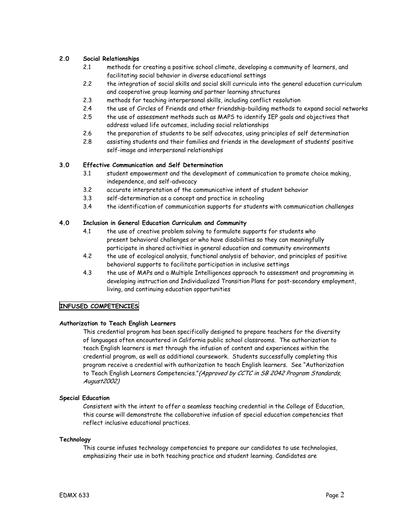# **2.0 Social Relationships**

- 2.1 methods for creating a positive school climate, developing a community of learners, and facilitating social behavior in diverse educational settings
- 2.2 the integration of social skills and social skill curricula into the general education curriculum and cooperative group learning and partner learning structures
- 2.3 methods for teaching interpersonal skills, including conflict resolution
- 2.4 the use of Circles of Friends and other friendship-building methods to expand social networks
- 2.5 the use of assessment methods such as MAPS to identify IEP goals and objectives that address valued life outcomes, including social relationships
- 2.6 the preparation of students to be self advocates, using principles of self determination
- 2.8 assisting students and their families and friends in the development of students' positive self-image and interpersonal relationships

### **3.0 Effective Communication and Self Determination**

- 3.1 student empowerment and the development of communication to promote choice making, independence, and self-advocacy
- 3.2 accurate interpretation of the communicative intent of student behavior
- 3.3 self-determination as a concept and practice in schooling
- 3.4 the identification of communication supports for students with communication challenges

# **4.0 Inclusion in General Education Curriculum and Community**

- 4.1 the use of creative problem solving to formulate supports for students who present behavioral challenges or who have disabilities so they can meaningfully participate in shared activities in general education and community environments
- 4.2 the use of ecological analysis, functional analysis of behavior, and principles of positive behavioral supports to facilitate participation in inclusive settings
- 4.3 the use of MAPs and a Multiple Intelligences approach to assessment and programming in developing instruction and Individualized Transition Plans for post-secondary employment, living, and continuing education opportunities

#### **INFUSED COMPETENCIES**

#### **Authorization to Teach English Learners**

This credential program has been specifically designed to prepare teachers for the diversity of languages often encountered in California public school classrooms. The authorization to teach English learners is met through the infusion of content and experiences within the credential program, as well as additional coursework. Students successfully completing this program receive a credential with authorization to teach English learners. See "Authorization to Teach English Learners Competencies." (Approved by CCTC in SB 2042 Program Standards, August2002)

#### **Special Education**

Consistent with the intent to offer a seamless teaching credential in the College of Education, this course will demonstrate the collaborative infusion of special education competencies that reflect inclusive educational practices.

#### **Technology**

This course infuses technology competencies to prepare our candidates to use technologies, emphasizing their use in both teaching practice and student learning. Candidates are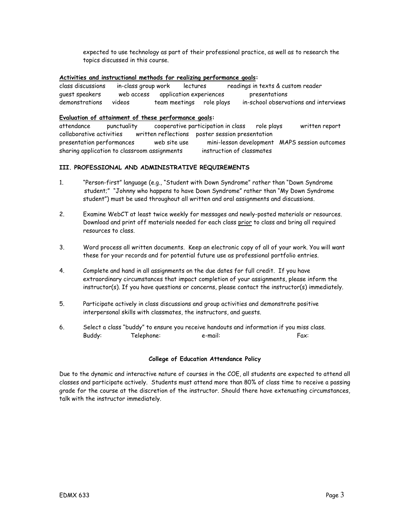expected to use technology as part of their professional practice, as well as to research the topics discussed in this course.

#### **Activities and instructional methods for realizing performance goals:**

class discussions in-class group work lectures readings in texts & custom reader guest speakers web access application experiences presentations demonstrations videos team meetings role plays in-school observations and interviews

#### **Evaluation of attainment of these performance goals:**

attendance punctuality cooperative participation in class role plays written report collaborative activities written reflections poster session presentation presentation performances web site use mini-lesson development MAPS session outcomes sharing application to classroom assignments instruction of classmates

#### **III. PROFESSIONAL AND ADMINISTRATIVE REQUIREMENTS**

- 1. "Person-first" language (e.g., "Student with Down Syndrome" rather than "Down Syndrome student;" "Johnny who happens to have Down Syndrome" rather than "My Down Syndrome student") must be used throughout all written and oral assignments and discussions.
- 2. Examine WebCT at least twice weekly for messages and newly-posted materials or resources. Download and print off materials needed for each class prior to class and bring all required resources to class.
- 3. Word process all written documents. Keep an electronic copy of all of your work. You will want these for your records and for potential future use as professional portfolio entries.
- 4. Complete and hand in all assignments on the due dates for full credit. If you have extraordinary circumstances that impact completion of your assignments, please inform the instructor(s). If you have questions or concerns, please contact the instructor(s) immediately.
- 5. Participate actively in class discussions and group activities and demonstrate positive interpersonal skills with classmates, the instructors, and guests.
- 6. Select a class "buddy" to ensure you receive handouts and information if you miss class. Buddy: Telephone: e-mail: Fax:

#### **College of Education Attendance Policy**

Due to the dynamic and interactive nature of courses in the COE, all students are expected to attend all classes and participate actively. Students must attend more than 80% of class time to receive a passing grade for the course at the discretion of the instructor. Should there have extenuating circumstances, talk with the instructor immediately.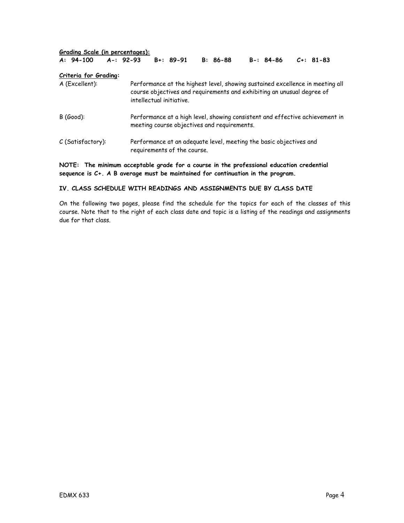| Grading Scale (in percentages): |  |                |  |                             |  |                                             |                                                                    |                                                                                                                                                         |  |
|---------------------------------|--|----------------|--|-----------------------------|--|---------------------------------------------|--------------------------------------------------------------------|---------------------------------------------------------------------------------------------------------------------------------------------------------|--|
| $A: 94-100$                     |  | $A - 192 - 93$ |  | $B + : 89 - 91$             |  | $B: 86-88$                                  | $B - 84 - 86$                                                      | $C_{+}$ : 81-83                                                                                                                                         |  |
| <b>Criteria for Grading:</b>    |  |                |  |                             |  |                                             |                                                                    |                                                                                                                                                         |  |
| A (Excellent):                  |  |                |  | intellectual initiative.    |  |                                             |                                                                    | Performance at the highest level, showing sustained excellence in meeting all<br>course objectives and requirements and exhibiting an unusual degree of |  |
| $B$ (Good):                     |  |                |  |                             |  | meeting course objectives and requirements. |                                                                    | Performance at a high level, showing consistent and effective achievement in                                                                            |  |
| C (Satisfactory):               |  |                |  | requirements of the course. |  |                                             | Performance at an adequate level, meeting the basic objectives and |                                                                                                                                                         |  |

**NOTE: The minimum acceptable grade for a course in the professional education credential sequence is C+. A B average must be maintained for continuation in the program.** 

#### **IV. CLASS SCHEDULE WITH READINGS AND ASSIGNMENTS DUE BY CLASS DATE**

On the following two pages, please find the schedule for the topics for each of the classes of this course. Note that to the right of each class date and topic is a listing of the readings and assignments due for that class.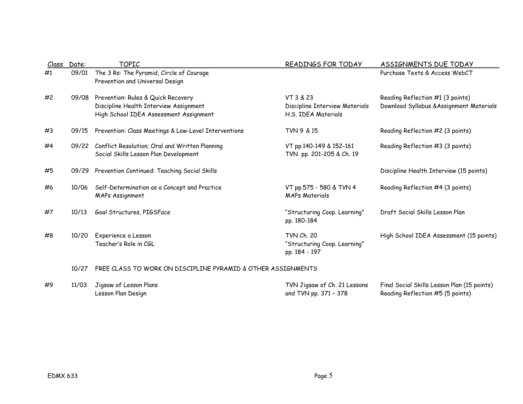|    | Class Date: | <b>TOPIC</b>                                                                                                           | READINGS FOR TODAY                                                 | ASSIGNMENTS DUE TODAY                                                           |
|----|-------------|------------------------------------------------------------------------------------------------------------------------|--------------------------------------------------------------------|---------------------------------------------------------------------------------|
| #1 | 09/01       | The 3 Rs: The Pyramid, Circle of Courage<br>Prevention and Universal Design                                            |                                                                    | Purchase Texts & Access WebCT                                                   |
| #2 | 09/08       | Prevention: Rules & Quick Recovery<br>Discipline Health Interview Assignment<br>High School IDEA Assessment Assignment | VT 3 & 23<br>Discipline Interview Materials<br>H.S. IDEA Materials | Reading Reflection #1 (3 points)<br>Download Syllabus & Assignment Materials    |
| #3 | 09/15       | Prevention: Class Meetings & Low-Level Interventions                                                                   | TVN 9 & 15                                                         | Reading Reflection #2 (3 points)                                                |
| #4 | 09/22       | Conflict Resolution; Oral and Written Planning<br>Social Skills Lesson Plan Development                                | VT pp.140-149 & 152-161<br>TVN pp. 201-205 & Ch. 19                | Reading Reflection #3 (3 points)                                                |
| #5 |             | 09/29 Prevention Continued: Teaching Social Skills                                                                     |                                                                    | Discipline Health Interview (15 points)                                         |
| #6 | 10/06       | Self-Determination as a Concept and Practice<br><b>MAPs Assignment</b>                                                 | VT pp.575 - 580 & TVN 4<br><b>MAPs Materials</b>                   | Reading Reflection #4 (3 points)                                                |
| #7 | 10/13       | Goal Structures, PIGSFace                                                                                              | "Structuring Coop. Learning"<br>pp. 180-184                        | Draft Social Skills Lesson Plan                                                 |
| #8 | 10/20       | Experience a Lesson<br>Teacher's Role in CGL                                                                           | TVN Ch. 20<br>"Structuring Coop. Learning"<br>pp. 184 - 197        | High School IDEA Assessment (15 points)                                         |
|    | 10/27       | FREE CLASS TO WORK ON DISCIPLINE PYRAMID & OTHER ASSIGNMENTS                                                           |                                                                    |                                                                                 |
| #9 | 11/03       | Jigsaw of Lesson Plans<br>Lesson Plan Design                                                                           | TVN Jigsaw of Ch. 21 Lessons<br>and TVN pp. 371 - 378              | Final Social Skills Lesson Plan (15 points)<br>Reading Reflection #5 (5 points) |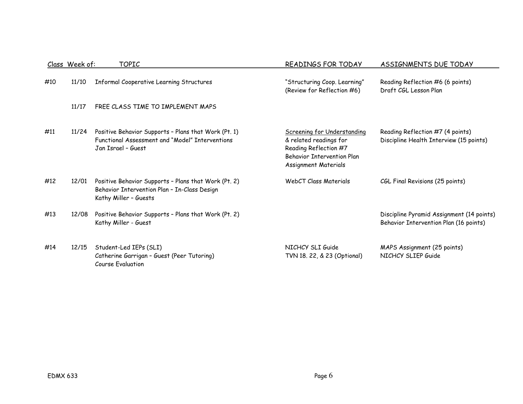|     | Class Week of: | TOPIC                                                                                                                         | READINGS FOR TODAY                                                                                                                   | ASSIGNMENTS DUE TODAY                                                               |
|-----|----------------|-------------------------------------------------------------------------------------------------------------------------------|--------------------------------------------------------------------------------------------------------------------------------------|-------------------------------------------------------------------------------------|
| #10 | 11/10          | Informal Cooperative Learning Structures                                                                                      | "Structuring Coop. Learning"<br>(Review for Reflection #6)                                                                           | Reading Reflection #6 (6 points)<br>Draft CGL Lesson Plan                           |
|     | 11/17          | FREE CLASS TIME TO IMPLEMENT MAPS                                                                                             |                                                                                                                                      |                                                                                     |
| #11 | 11/24          | Positive Behavior Supports - Plans that Work (Pt. 1)<br>Functional Assessment and "Model" Interventions<br>Jan Israel - Guest | Screening for Understanding<br>& related readings for<br>Reading Reflection #7<br>Behavior Intervention Plan<br>Assignment Materials | Reading Reflection #7 (4 points)<br>Discipline Health Interview (15 points)         |
| #12 | 12/01          | Positive Behavior Supports - Plans that Work (Pt. 2)<br>Behavior Intervention Plan - In-Class Design<br>Kathy Miller - Guests | WebCT Class Materials                                                                                                                | CGL Final Revisions (25 points)                                                     |
| #13 | 12/08          | Positive Behavior Supports - Plans that Work (Pt. 2)<br>Kathy Miller - Guest                                                  |                                                                                                                                      | Discipline Pyramid Assignment (14 points)<br>Behavior Intervention Plan (16 points) |
| #14 | 12/15          | Student-Led IEPs (SLI)<br>Catherine Garrigan - Guest (Peer Tutoring)<br>Course Evaluation                                     | NICHCY SLI Guide<br>TVN 18. 22, & 23 (Optional)                                                                                      | MAPS Assignment (25 points)<br>NICHCY SLIEP Guide                                   |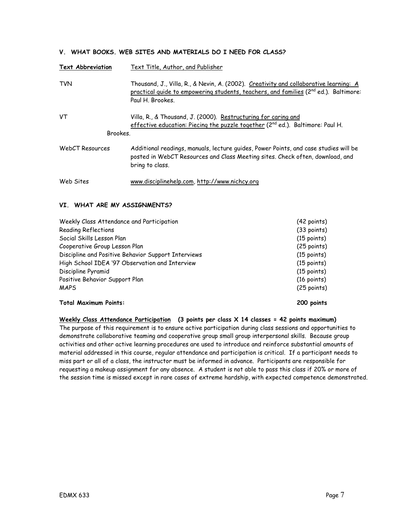# **V. WHAT BOOKS. WEB SITES AND MATERIALS DO I NEED FOR CLASS?**

| <b>Text Abbreviation</b> | Text Title, Author, and Publisher                                                                                                                                                                    |
|--------------------------|------------------------------------------------------------------------------------------------------------------------------------------------------------------------------------------------------|
| <b>TVN</b>               | Thousand, J., Villa, R., & Nevin, A. (2002). Creativity and collaborative learning: A<br>practical quide to empowering students, teachers, and families ( $2nd$ ed.). Baltimore:<br>Paul H. Brookes. |
| VT<br>Brookes.           | Villa, R., & Thousand, J. (2000). Restructuring for caring and<br>effective education: Piecing the puzzle together (2 <sup>nd</sup> ed.). Baltimore: Paul H.                                         |
| WebCT Resources          | Additional readings, manuals, lecture guides, Power Points, and case studies will be<br>posted in WebCT Resources and Class Meeting sites. Check often, download, and<br>bring to class.             |
| Web Sites                | www.disciplinehelp.com, http://www.nichcy.org                                                                                                                                                        |

#### **VI. WHAT ARE MY ASSIGNMENTS?**

| Weekly Class Attendance and Participation           | (42 points)           |
|-----------------------------------------------------|-----------------------|
| <b>Reading Reflections</b>                          | (33 points)           |
| Social Skills Lesson Plan                           | $(15 \text{ points})$ |
| Cooperative Group Lesson Plan                       | $(25$ points)         |
| Discipline and Positive Behavior Support Interviews | $(15$ points)         |
| High School IDEA '97 Observation and Interview      | $(15$ points)         |
| Discipline Pyramid                                  | $(15$ points)         |
| Positive Behavior Support Plan                      | $(16 \text{ points})$ |
| <b>MAPS</b>                                         | $(25$ points)         |
| <b>Total Maximum Points:</b>                        | 200 points            |

**Weekly Class Attendance Participation (3 points per class X 14 classes = 42 points maximum)**  The purpose of this requirement is to ensure active participation during class sessions and opportunities to demonstrate collaborative teaming and cooperative group small group interpersonal skills. Because group activities and other active learning procedures are used to introduce and reinforce substantial amounts of material addressed in this course, regular attendance and participation is critical. If a participant needs to miss part or all of a class, the instructor must be informed in advance. Participants are responsible for requesting a makeup assignment for any absence. A student is not able to pass this class if 20% or more of the session time is missed except in rare cases of extreme hardship, with expected competence demonstrated.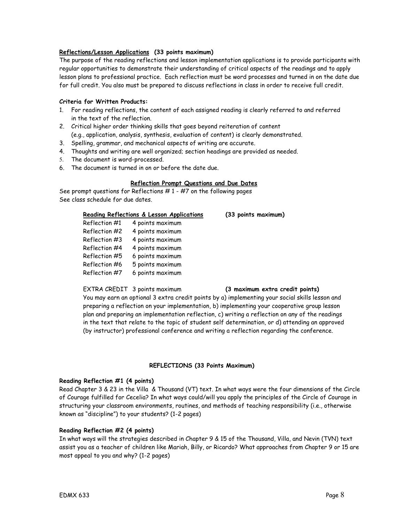### **Reflections/Lesson Applications (33 points maximum)**

The purpose of the reading reflections and lesson implementation applications is to provide participants with regular opportunities to demonstrate their understanding of critical aspects of the readings and to apply lesson plans to professional practice. Each reflection must be word processes and turned in on the date due for full credit. You also must be prepared to discuss reflections in class in order to receive full credit.

## **Criteria for Written Products:**

- 1. For reading reflections, the content of each assigned reading is clearly referred to and referred in the text of the reflection.
- 2. Critical higher order thinking skills that goes beyond reiteration of content (e.g., application, analysis, synthesis, evaluation of content) is clearly demonstrated.
- 3. Spelling, grammar, and mechanical aspects of writing are accurate.
- 4. Thoughts and writing are well organized; section headings are provided as needed.
- 5. The document is word-processed.
- 6. The document is turned in on or before the date due.

#### **Reflection Prompt Questions and Due Dates**

See prompt questions for Reflections  $# 1 - #7$  on the following pages See class schedule for due dates.

|               | Reading Reflections & Lesson Applications | (33 points maximum) |
|---------------|-------------------------------------------|---------------------|
| Reflection #1 | 4 points maximum                          |                     |
| Reflection #2 | 4 points maximum                          |                     |
| Reflection #3 | 4 points maximum                          |                     |
| Reflection #4 | 4 points maximum                          |                     |
| Reflection #5 | 6 points maximum                          |                     |
| Reflection #6 | 5 points maximum                          |                     |
| Reflection #7 | 6 points maximum                          |                     |

#### EXTRA CREDIT 3 points maximum **(3 maximum extra credit points)**

You may earn an optional 3 extra credit points by a) implementing your social skills lesson and preparing a reflection on your implementation, b) implementing your cooperative group lesson plan and preparing an implementation reflection, c) writing a reflection on any of the readings in the text that relate to the topic of student self determination, or d) attending an approved (by instructor) professional conference and writing a reflection regarding the conference.

#### **REFLECTIONS (33 Points Maximum)**

#### **Reading Reflection #1 (4 points)**

Read Chapter 3 & 23 in the Villa & Thousand (VT) text. In what ways were the four dimensions of the Circle of Courage fulfilled for Cecelia? In what ways could/will you apply the principles of the Circle of Courage in structuring your classroom environments, routines, and methods of teaching responsibility (i.e., otherwise known as "discipline") to your students? (1-2 pages)

#### **Reading Reflection #2 (4 points)**

In what ways will the strategies described in Chapter 9 & 15 of the Thousand, Villa, and Nevin (TVN) text assist you as a teacher of children like Mariah, Billy, or Ricardo? What approaches from Chapter 9 or 15 are most appeal to you and why? (1-2 pages)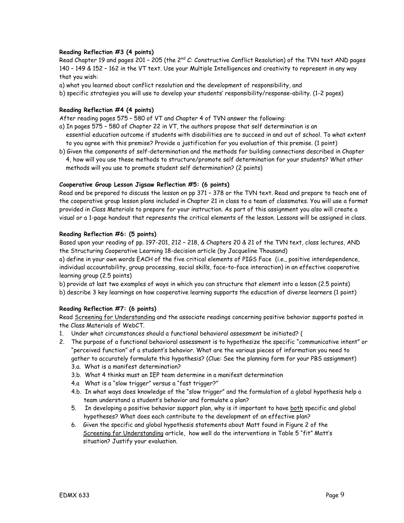# **Reading Reflection #3 (4 points)**

Read Chapter 19 and pages 201 - 205 (the 2<sup>nd</sup> C: Constructive Conflict Resolution) of the TVN text AND pages 140 – 149 & 152 – 162 in the VT text. Use your Multiple Intelligences and creativity to represent in any way that you wish:

a) what you learned about conflict resolution and the development of responsibility, and

b) specific strategies you will use to develop your students' responsibility/response-ability. (1-2 pages)

# **Reading Reflection #4 (4 points)**

After reading pages 575 – 580 of VT and Chapter 4 of TVN answer the following:

- a) In pages 575 580 of Chapter 22 in VT, the authors propose that self determination is an essential education outcome if students with disabilities are to succeed in and out of school. To what extent to you agree with this premise? Provide a justification for you evaluation of this premise. (1 point)
- b) Given the components of self-determination and the methods for building connections described in Chapter 4, how will you use these methods to structure/promote self determination for your students? What other methods will you use to promote student self determination? (2 points)

# **Cooperative Group Lesson Jigsaw Reflection #5: (6 points)**

Read and be prepared to discuss the lesson on pp 371 – 378 or the TVN text. Read and prepare to teach one of the cooperative group lesson plans included in Chapter 21 in class to a team of classmates. You will use a format provided in Class Materials to prepare for your instruction. As part of this assignment you also will create a visual or a 1-page handout that represents the critical elements of the lesson. Lessons will be assigned in class.

# **Reading Reflection #6: (5 points)**

Based upon your reading of pp. 197-201, 212 – 218, & Chapters 20 & 21 of the TVN text, class lectures, AND the Structuring Cooperative Learning 18-decision article (by Jacqueline Thousand)

a) define in your own words EACH of the five critical elements of PIGS Face (i.e., positive interdependence, individual accountability, group processing, social skills, face-to-face interaction) in an effective cooperative learning group (2.5 points)

b) provide at last two examples of ways in which you can structure that element into a lesson (2.5 points)

b) describe 3 key learnings on how cooperative learning supports the education of diverse learners (1 point)

# **Reading Reflection #7: (6 points)**

Read Screening for Understanding and the associate readings concerning positive behavior supports posted in the Class Materials of WebCT.

- 1. Under what circumstances should a functional behavioral assessment be initiated? (
- 2. The purpose of a functional behavioral assessment is to hypothesize the specific "communicative intent" or "perceived function" of a student's behavior. What are the various pieces of information you need to gather to accurately formulate this hypothesis? (Clue: See the planning form for your PBS assignment)
	- 3.a. What is a manifest determination?
	- 3.b. What 4 thinks must an IEP team determine in a manifest determination
	- 4.a What is a "slow trigger" versus a "fast trigger?"
	- 4.b. In what ways does knowledge of the "slow trigger" and the formulation of a global hypothesis help a team understand a student's behavior and formulate a plan?
	- 5. In developing a positive behavior support plan, why is it important to have both specific and global hypotheses? What does each contribute to the development of an effective plan?
	- 6. Given the specific and global hypothesis statements about Matt found in Figure 2 of the Screening for Understanding article, how well do the interventions in Table 5 "fit" Matt's situation? Justify your evaluation.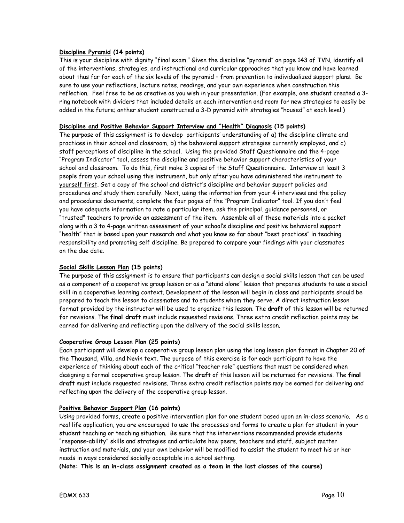#### **Discipline Pyramid (14 points)**

This is your discipline with dignity "final exam.'' Given the discipline "pyramid" on page 143 of TVN, identify all of the interventions, strategies, and instructional and curricular approaches that you know and have learned about thus far for each of the six levels of the pyramid - from prevention to individualized support plans. Be sure to use your reflections, lecture notes, readings, and your own experience when construction this reflection. Feel free to be as creative as you wish in your presentation. (For example, one student created a 3 ring notebook with dividers that included details on each intervention and room for new strategies to easily be added in the future; anther student constructed a 3-D pyramid with strategies "housed" at each level.)

## **Discipline and Positive Behavior Support Interview and "Health" Diagnosis (15 points)**

The purpose of this assignment is to develop participants' understanding of a) the discipline climate and practices in their school and classroom, b) the behavioral support strategies currently employed, and c) staff perceptions of discipline in the school. Using the provided Staff Questionnaire and the 4-page "Program Indicator" tool, assess the discipline and positive behavior support characteristics of your school and classroom. To do this, first make 3 copies of the Staff Questionnaire. Interview at least 3 people from your school using this instrument, but only after you have administered the instrument to yourself first. Get a copy of the school and district's discipline and behavior support policies and procedures and study them carefully. Next, using the information from your 4 interviews and the policy and procedures documents, complete the four pages of the "Program Indicator" tool. If you don't feel you have adequate information to rate a particular item, ask the principal, guidance personnel, or "trusted" teachers to provide an assessment of the item. Assemble all of these materials into a packet along with a 3 to 4-page written assessment of your school's discipline and positive behavioral support "health" that is based upon your research and what you know so far about "best practices" in teaching responsibility and promoting self discipline. Be prepared to compare your findings with your classmates on the due date.

#### **Social Skills Lesson Plan (15 points)**

The purpose of this assignment is to ensure that participants can design a social skills lesson that can be used as a component of a cooperative group lesson or as a "stand alone" lesson that prepares students to use a social skill in a cooperative learning context. Development of the lesson will begin in class and participants should be prepared to teach the lesson to classmates and to students whom they serve. A direct instruction lesson format provided by the instructor will be used to organize this lesson. The **draft** of this lesson will be returned for revisions. The **final draft** must include requested revisions. Three extra credit reflection points may be earned for delivering and reflecting upon the delivery of the social skills lesson.

### **Cooperative Group Lesson Plan (25 points)**

Each participant will develop a cooperative group lesson plan using the long lesson plan format in Chapter 20 of the Thousand, Villa, and Nevin text. The purpose of this exercise is for each participant to have the experience of thinking about each of the critical "teacher role" questions that must be considered when designing a formal cooperative group lesson. The **draft** of this lesson will be returned for revisions. The **final draft** must include requested revisions. Three extra credit reflection points may be earned for delivering and reflecting upon the delivery of the cooperative group lesson.

#### **Positive Behavior Support Plan (16 points)**

Using provided forms, create a positive intervention plan for one student based upon an in-class scenario. As a real life application, you are encouraged to use the processes and forms to create a plan for student in your student teaching or teaching situation. Be sure that the interventions recommended provide students "response-ability" skills and strategies and articulate how peers, teachers and staff, subject matter instruction and materials, and your own behavior will be modified to assist the student to meet his or her needs in ways considered socially acceptable in a school setting.

**(Note: This is an in-class assignment created as a team in the last classes of the course)**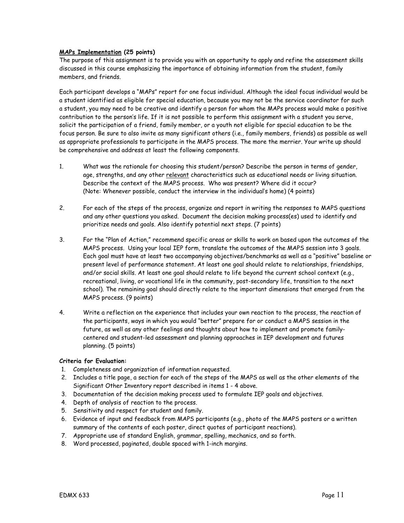### **MAPs Implementation (25 points)**

The purpose of this assignment is to provide you with an opportunity to apply and refine the assessment skills discussed in this course emphasizing the importance of obtaining information from the student, family members, and friends.

Each participant develops a "MAPs" report for one focus individual. Although the ideal focus individual would be a student identified as eligible for special education, because you may not be the service coordinator for such a student, you may need to be creative and identify a person for whom the MAPs process would make a positive contribution to the person's life. If it is not possible to perform this assignment with a student you serve, solicit the participation of a friend, family member, or a youth not eligible for special education to be the focus person. Be sure to also invite as many significant others (i.e., family members, friends) as possible as well as appropriate professionals to participate in the MAPS process. The more the merrier. Your write up should be comprehensive and address at least the following components.

- 1. What was the rationale for choosing this student/person? Describe the person in terms of gender, age, strengths, and any other relevant characteristics such as educational needs or living situation. Describe the context of the MAPS process. Who was present? Where did it occur? (Note: Whenever possible, conduct the interview in the individual's home) (4 points)
- 2. For each of the steps of the process, organize and report in writing the responses to MAPS questions and any other questions you asked. Document the decision making process(es) used to identify and prioritize needs and goals. Also identify potential next steps. (7 points)
- 3. For the "Plan of Action," recommend specific areas or skills to work on based upon the outcomes of the MAPS process. Using your local IEP form, translate the outcomes of the MAPS session into 3 goals. Each goal must have at least two accompanying objectives/benchmarks as well as a "positive" baseline or present level of performance statement. At least one goal should relate to relationships, friendships, and/or social skills. At least one goal should relate to life beyond the current school context (e.g., recreational, living, or vocational life in the community, post-secondary life, transition to the next school). The remaining goal should directly relate to the important dimensions that emerged from the MAPS process. (9 points)
- 4. Write a reflection on the experience that includes your own reaction to the process, the reaction of the participants, ways in which you would "better" prepare for or conduct a MAPS session in the future, as well as any other feelings and thoughts about how to implement and promote familycentered and student-led assessment and planning approaches in IEP development and futures planning. (5 points)

#### **Criteria for Evaluation:**

- 1. Completeness and organization of information requested.
- 2. Includes a title page, a section for each of the steps of the MAPS as well as the other elements of the Significant Other Inventory report described in items 1 - 4 above.
- 3. Documentation of the decision making process used to formulate IEP goals and objectives.
- 4. Depth of analysis of reaction to the process.
- 5. Sensitivity and respect for student and family.
- 6. Evidence of input and feedback from MAPS participants (e.g., photo of the MAPS posters or a written summary of the contents of each poster, direct quotes of participant reactions).
- 7. Appropriate use of standard English, grammar, spelling, mechanics, and so forth.
- 8. Word processed, paginated, double spaced with 1-inch margins.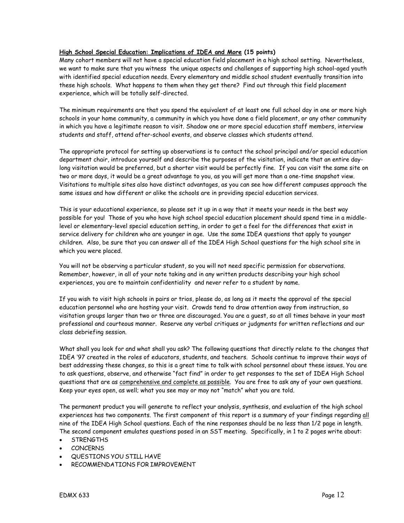# **High School Special Education: Implications of IDEA and More (15 points)**

Many cohort members will not have a special education field placement in a high school setting. Nevertheless, we want to make sure that you witness the unique aspects and challenges of supporting high school-aged youth with identified special education needs. Every elementary and middle school student eventually transition into these high schools. What happens to them when they get there? Find out through this field placement experience, which will be totally self-directed.

The minimum requirements are that you spend the equivalent of at least one full school day in one or more high schools in your home community, a community in which you have done a field placement, or any other community in which you have a legitimate reason to visit. Shadow one or more special education staff members, interview students and staff, attend after-school events, and observe classes which students attend.

The appropriate protocol for setting up observations is to contact the school principal and/or special education department chair, introduce yourself and describe the purposes of the visitation, indicate that an entire daylong visitation would be preferred, but a shorter visit would be perfectly fine. If you can visit the same site on two or more days, it would be a great advantage to you, as you will get more than a one-time snapshot view. Visitations to multiple sites also have distinct advantages, as you can see how different campuses approach the same issues and how different or alike the schools are in providing special education services.

This is your educational experience, so please set it up in a way that it meets your needs in the best way possible for you! Those of you who have high school special education placement should spend time in a middlelevel or elementary-level special education setting, in order to get a feel for the differences that exist in service delivery for children who are younger in age. Use the same IDEA questions that apply to younger children. Also, be sure that you can answer all of the IDEA High School questions for the high school site in which you were placed.

You will not be observing a particular student, so you will not need specific permission for observations. Remember, however, in all of your note taking and in any written products describing your high school experiences, you are to maintain confidentiality and never refer to a student by name.

If you wish to visit high schools in pairs or trios, please do, as long as it meets the approval of the special education personnel who are hosting your visit. Crowds tend to draw attention away from instruction, so visitation groups larger than two or three are discouraged. You are a guest, so at all times behave in your most professional and courteous manner. Reserve any verbal critiques or judgments for written reflections and our class debriefing session.

What shall you look for and what shall you ask? The following questions that directly relate to the changes that IDEA '97 created in the roles of educators, students, and teachers. Schools continue to improve their ways of best addressing these changes, so this is a great time to talk with school personnel about these issues. You are to ask questions, observe, and otherwise "fact find" in order to get responses to the set of IDEA High School questions that are as comprehensive and complete as possible. You are free to ask any of your own questions. Keep your eyes open, as well; what you see may or may not "match" what you are told.

The permanent product you will generate to reflect your analysis, synthesis, and evaluation of the high school experiences has two components. The first component of this report is a summary of your findings regarding all nine of the IDEA High School questions. Each of the nine responses should be no less than 1/2 page in length. The second component emulates questions posed in an SST meeting. Specifically, in 1 to 2 pages write about:

- **STRENGTHS**
- CONCERNS
- QUESTIONS YOU STILL HAVE
- RECOMMENDATIONS FOR IMPROVEMENT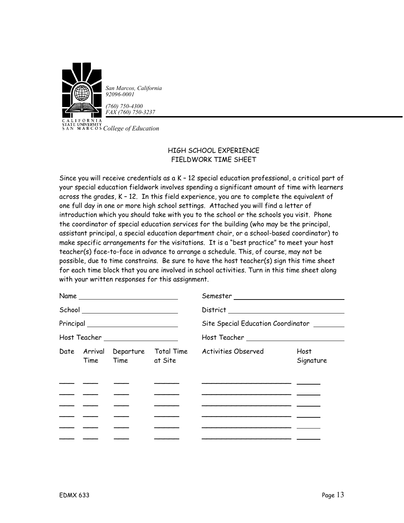

CALITY *COLLEGATE UNIVERSITY*<br>
SAN MARCOS *College of Education* 

# HIGH SCHOOL EXPERIENCE FIELDWORK TIME SHEET

Since you will receive credentials as a K – 12 special education professional, a critical part of your special education fieldwork involves spending a significant amount of time with learners across the grades, K – 12. In this field experience, you are to complete the equivalent of one full day in one or more high school settings. Attached you will find a letter of introduction which you should take with you to the school or the schools you visit. Phone the coordinator of special education services for the building (who may be the principal, assistant principal, a special education department chair, or a school-based coordinator) to make specific arrangements for the visitations. It is a "best practice" to meet your host teacher(s) face-to-face in advance to arrange a schedule. This, of course, may not be possible, due to time constrains. Be sure to have the host teacher(s) sign this time sheet for each time block that you are involved in school activities. Turn in this time sheet along with your written responses for this assignment.

| Name                                                                                 |  |                   |                                   |                                                        |                   |  |
|--------------------------------------------------------------------------------------|--|-------------------|-----------------------------------|--------------------------------------------------------|-------------------|--|
| School ____________________________                                                  |  |                   |                                   |                                                        |                   |  |
| $Principal \begin{tabular}{c} \multicolumn{2}{c} {\textbf{Principal}} \end{tabular}$ |  |                   |                                   | Site Special Education Coordinator                     |                   |  |
| Host Teacher ____________________                                                    |  |                   |                                   |                                                        |                   |  |
|                                                                                      |  | Time Time at Site | Date Arrival Departure Total Time | Activities Observed                                    | Host<br>Signature |  |
|                                                                                      |  |                   |                                   |                                                        |                   |  |
|                                                                                      |  |                   |                                   |                                                        |                   |  |
|                                                                                      |  |                   |                                   |                                                        |                   |  |
|                                                                                      |  |                   |                                   | <u> 1989 - Andrea Andrew Maria Alemania (h. 1989).</u> |                   |  |
|                                                                                      |  |                   |                                   |                                                        |                   |  |
|                                                                                      |  |                   |                                   |                                                        |                   |  |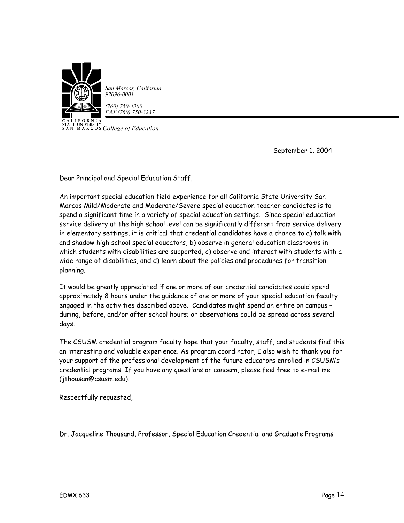

*San Marcos, California*

*(760) 750-4300 FAX (760) 750-3237*

CALITY<br>STATE UNIVERSITY<br>SAN MARCOS *College of Education* 

September 1, 2004

Dear Principal and Special Education Staff,

An important special education field experience for all California State University San Marcos Mild/Moderate and Moderate/Severe special education teacher candidates is to spend a significant time in a variety of special education settings. Since special education service delivery at the high school level can be significantly different from service delivery in elementary settings, it is critical that credential candidates have a chance to a) talk with and shadow high school special educators, b) observe in general education classrooms in which students with disabilities are supported, c) observe and interact with students with a wide range of disabilities, and d) learn about the policies and procedures for transition planning.

It would be greatly appreciated if one or more of our credential candidates could spend approximately 8 hours under the guidance of one or more of your special education faculty engaged in the activities described above. Candidates might spend an entire on campus – during, before, and/or after school hours; or observations could be spread across several days.

The CSUSM credential program faculty hope that your faculty, staff, and students find this an interesting and valuable experience. As program coordinator, I also wish to thank you for your support of the professional development of the future educators enrolled in CSUSM's credential programs. If you have any questions or concern, please feel free to e-mail me (jthousan@csusm.edu).

Respectfully requested,

Dr. Jacqueline Thousand, Professor, Special Education Credential and Graduate Programs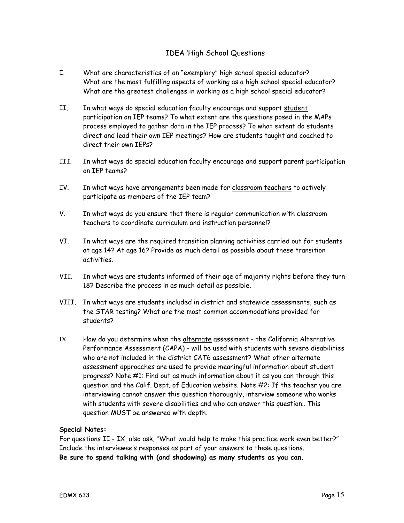# IDEA 'High School Questions

- I. What are characteristics of an "exemplary" high school special educator? What are the most fulfilling aspects of working as a high school special educator? What are the greatest challenges in working as a high school special educator?
- II. In what ways do special education faculty encourage and support student participation on IEP teams? To what extent are the questions posed in the MAPs process employed to gather data in the IEP process? To what extent do students direct and lead their own IEP meetings? How are students taught and coached to direct their own IEPs?
- III. In what ways do special education faculty encourage and support parent participation on IEP teams?
- IV. In what ways have arrangements been made for classroom teachers to actively participate as members of the IEP team?
- V. In what ways do you ensure that there is regular communication with classroom teachers to coordinate curriculum and instruction personnel?
- VI. In what ways are the required transition planning activities carried out for students at age 14? At age 16? Provide as much detail as possible about these transition activities.
- VII. In what ways are students informed of their age of majority rights before they turn 18? Describe the process in as much detail as possible.
- VIII. In what ways are students included in district and statewide assessments, such as the STAR testing? What are the most common accommodations provided for students?
- IX. How do you determine when the alternate assessment the California Alternative Performance Assessment (CAPA) - will be used with students with severe disabilities who are not included in the district CAT6 assessment? What other alternate assessment approaches are used to provide meaningful information about student progress? Note #1: Find out as much information about it as you can through this question and the Calif. Dept. of Education website. Note #2: If the teacher you are interviewing cannot answer this question thoroughly, interview someone who works with students with severe disabilities and who can answer this question.. This question MUST be answered with depth.

# **Special Notes:**

For questions II - IX, also ask, "What would help to make this practice work even better?" Include the interviewee's responses as part of your answers to these questions. **Be sure to spend talking with (and shadowing) as many students as you can.**